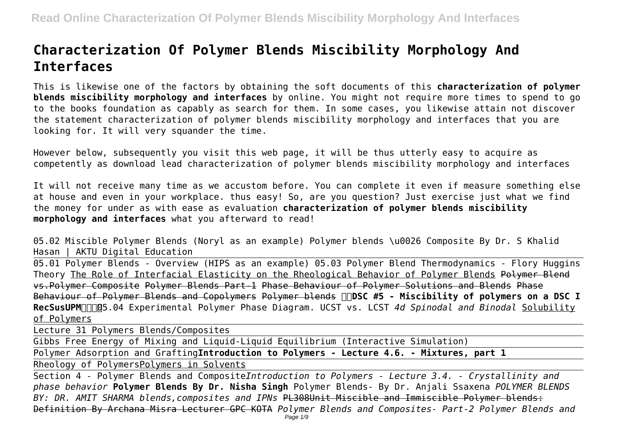# **Characterization Of Polymer Blends Miscibility Morphology And Interfaces**

This is likewise one of the factors by obtaining the soft documents of this **characterization of polymer blends miscibility morphology and interfaces** by online. You might not require more times to spend to go to the books foundation as capably as search for them. In some cases, you likewise attain not discover the statement characterization of polymer blends miscibility morphology and interfaces that you are looking for. It will very squander the time.

However below, subsequently you visit this web page, it will be thus utterly easy to acquire as competently as download lead characterization of polymer blends miscibility morphology and interfaces

It will not receive many time as we accustom before. You can complete it even if measure something else at house and even in your workplace. thus easy! So, are you question? Just exercise just what we find the money for under as with ease as evaluation **characterization of polymer blends miscibility morphology and interfaces** what you afterward to read!

05.02 Miscible Polymer Blends (Noryl as an example) Polymer blends \u0026 Composite By Dr. S Khalid Hasan | AKTU Digital Education

05.01 Polymer Blends - Overview (HIPS as an example) 05.03 Polymer Blend Thermodynamics - Flory Huggins Theory The Role of Interfacial Elasticity on the Rheological Behavior of Polymer Blends Polymer Blend vs.Polymer Composite Polymer Blends Part-1 Phase Behaviour of Polymer Solutions and Blends Phase Behaviour of Polymer Blends and Copolymers Polymer blends **DDSC #5 - Miscibility of polymers on a DSC I** RecSusUPM<sub>Q</sub><sub>05.04</sub> Experimental Polymer Phase Diagram. UCST vs. LCST 4d Spinodal and Binodal Solubility of Polymers

Lecture 31 Polymers Blends/Composites

Gibbs Free Energy of Mixing and Liquid-Liquid Equilibrium (Interactive Simulation)

Polymer Adsorption and Grafting**Introduction to Polymers - Lecture 4.6. - Mixtures, part 1**

Rheology of PolymersPolymers in Solvents

Section 4 - Polymer Blends and Composite*Introduction to Polymers - Lecture 3.4. - Crystallinity and phase behavior* **Polymer Blends By Dr. Nisha Singh** Polymer Blends- By Dr. Anjali Ssaxena *POLYMER BLENDS BY: DR. AMIT SHARMA blends,composites and IPNs* PL308Unit Miscible and Immiscible Polymer blends: Definition By Archana Misra Lecturer GPC KOTA *Polymer Blends and Composites- Part-2 Polymer Blends and*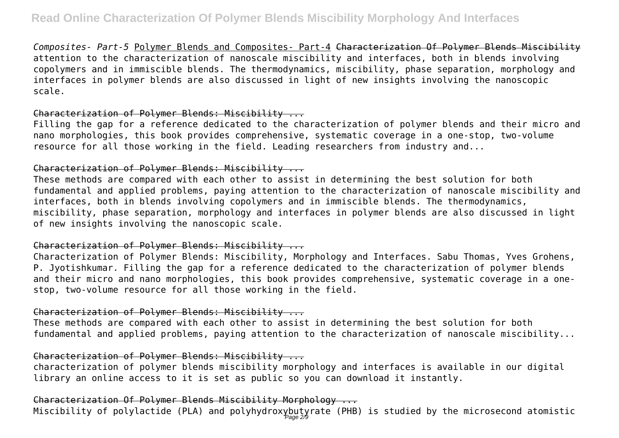*Composites- Part-5* Polymer Blends and Composites- Part-4 Characterization Of Polymer Blends Miscibility attention to the characterization of nanoscale miscibility and interfaces, both in blends involving copolymers and in immiscible blends. The thermodynamics, miscibility, phase separation, morphology and interfaces in polymer blends are also discussed in light of new insights involving the nanoscopic scale.

#### Characterization of Polymer Blends: Miscibility ...

Filling the gap for a reference dedicated to the characterization of polymer blends and their micro and nano morphologies, this book provides comprehensive, systematic coverage in a one-stop, two-volume resource for all those working in the field. Leading researchers from industry and...

#### Characterization of Polymer Blends: Miscibility ...

These methods are compared with each other to assist in determining the best solution for both fundamental and applied problems, paying attention to the characterization of nanoscale miscibility and interfaces, both in blends involving copolymers and in immiscible blends. The thermodynamics, miscibility, phase separation, morphology and interfaces in polymer blends are also discussed in light of new insights involving the nanoscopic scale.

#### Characterization of Polymer Blends: Miscibility ...

Characterization of Polymer Blends: Miscibility, Morphology and Interfaces. Sabu Thomas, Yves Grohens, P. Jyotishkumar. Filling the gap for a reference dedicated to the characterization of polymer blends and their micro and nano morphologies, this book provides comprehensive, systematic coverage in a onestop, two-volume resource for all those working in the field.

#### Characterization of Polymer Blends: Miscibility ...

These methods are compared with each other to assist in determining the best solution for both fundamental and applied problems, paying attention to the characterization of nanoscale miscibility...

#### Characterization of Polymer Blends: Miscibility ...

characterization of polymer blends miscibility morphology and interfaces is available in our digital library an online access to it is set as public so you can download it instantly.

## Characterization Of Polymer Blends Miscibility Morphology ...

Miscibility of polylactide (PLA) and polyhydroxybutyrate (PHB) is studied by the microsecond atomistic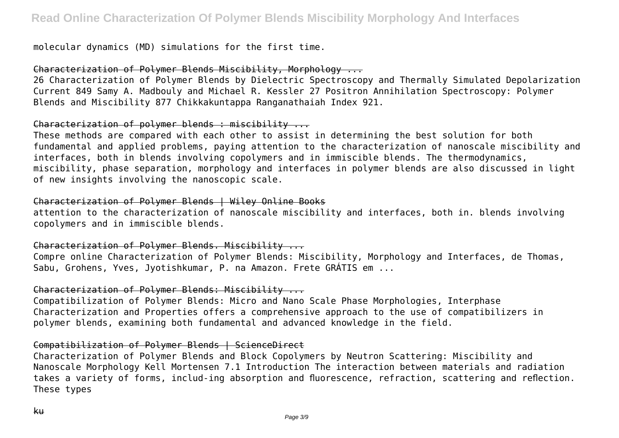molecular dynamics (MD) simulations for the first time.

Characterization of Polymer Blends Miscibility, Morphology ...

26 Characterization of Polymer Blends by Dielectric Spectroscopy and Thermally Simulated Depolarization Current 849 Samy A. Madbouly and Michael R. Kessler 27 Positron Annihilation Spectroscopy: Polymer Blends and Miscibility 877 Chikkakuntappa Ranganathaiah Index 921.

## Characterization of polymer blends : miscibility ...

These methods are compared with each other to assist in determining the best solution for both fundamental and applied problems, paying attention to the characterization of nanoscale miscibility and interfaces, both in blends involving copolymers and in immiscible blends. The thermodynamics, miscibility, phase separation, morphology and interfaces in polymer blends are also discussed in light of new insights involving the nanoscopic scale.

#### Characterization of Polymer Blends | Wiley Online Books

attention to the characterization of nanoscale miscibility and interfaces, both in. blends involving copolymers and in immiscible blends.

#### Characterization of Polymer Blends. Miscibility ...

Compre online Characterization of Polymer Blends: Miscibility, Morphology and Interfaces, de Thomas, Sabu, Grohens, Yves, Jyotishkumar, P. na Amazon. Frete GRÁTIS em ...

#### Characterization of Polymer Blends: Miscibility ...

Compatibilization of Polymer Blends: Micro and Nano Scale Phase Morphologies, Interphase Characterization and Properties offers a comprehensive approach to the use of compatibilizers in polymer blends, examining both fundamental and advanced knowledge in the field.

#### Compatibilization of Polymer Blends | ScienceDirect

Characterization of Polymer Blends and Block Copolymers by Neutron Scattering: Miscibility and Nanoscale Morphology Kell Mortensen 7.1 Introduction The interaction between materials and radiation takes a variety of forms, includ-ing absorption and fluorescence, refraction, scattering and reflection. These types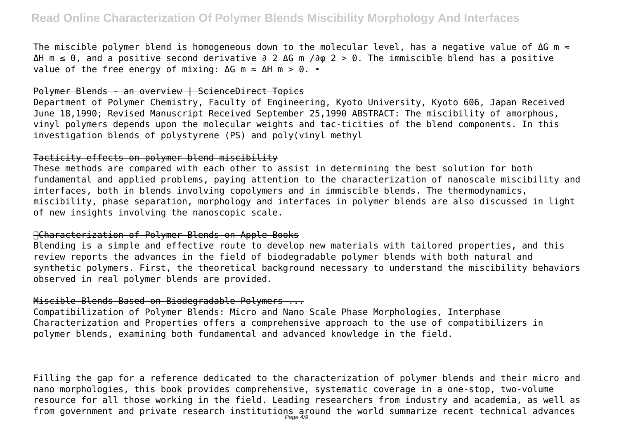The miscible polymer blend is homogeneous down to the molecular level, has a negative value of ΔG m ≈ ΔH m ≤ 0, and a positive second derivative ∂ 2 ΔG m /∂φ 2 > 0. The immiscible blend has a positive value of the free energy of mixing:  $\Delta G$  m  $\approx$   $\Delta H$  m  $>$  0. •

#### Polymer Blends - an overview | ScienceDirect Topics

Department of Polymer Chemistry, Faculty of Engineering, Kyoto University, Kyoto 606, Japan Received June 18,1990; Revised Manuscript Received September 25,1990 ABSTRACT: The miscibility of amorphous, vinyl polymers depends upon the molecular weights and tac-ticities of the blend components. In this investigation blends of polystyrene (PS) and poly(vinyl methyl

#### Tacticity effects on polymer blend miscibility

These methods are compared with each other to assist in determining the best solution for both fundamental and applied problems, paying attention to the characterization of nanoscale miscibility and interfaces, both in blends involving copolymers and in immiscible blends. The thermodynamics, miscibility, phase separation, morphology and interfaces in polymer blends are also discussed in light of new insights involving the nanoscopic scale.

#### Characterization of Polymer Blends on Apple Books

Blending is a simple and effective route to develop new materials with tailored properties, and this review reports the advances in the field of biodegradable polymer blends with both natural and synthetic polymers. First, the theoretical background necessary to understand the miscibility behaviors observed in real polymer blends are provided.

#### Miscible Blends Based on Biodegradable Polymers ...

Compatibilization of Polymer Blends: Micro and Nano Scale Phase Morphologies, Interphase Characterization and Properties offers a comprehensive approach to the use of compatibilizers in polymer blends, examining both fundamental and advanced knowledge in the field.

Filling the gap for a reference dedicated to the characterization of polymer blends and their micro and nano morphologies, this book provides comprehensive, systematic coverage in a one-stop, two-volume resource for all those working in the field. Leading researchers from industry and academia, as well as from government and private research institutions around the world summarize recent technical advances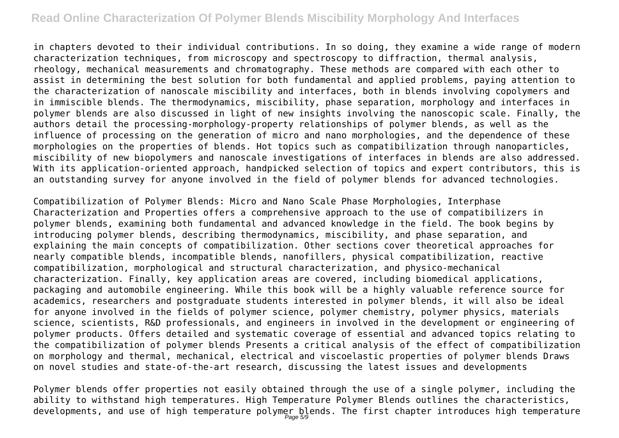# **Read Online Characterization Of Polymer Blends Miscibility Morphology And Interfaces**

in chapters devoted to their individual contributions. In so doing, they examine a wide range of modern characterization techniques, from microscopy and spectroscopy to diffraction, thermal analysis, rheology, mechanical measurements and chromatography. These methods are compared with each other to assist in determining the best solution for both fundamental and applied problems, paying attention to the characterization of nanoscale miscibility and interfaces, both in blends involving copolymers and in immiscible blends. The thermodynamics, miscibility, phase separation, morphology and interfaces in polymer blends are also discussed in light of new insights involving the nanoscopic scale. Finally, the authors detail the processing-morphology-property relationships of polymer blends, as well as the influence of processing on the generation of micro and nano morphologies, and the dependence of these morphologies on the properties of blends. Hot topics such as compatibilization through nanoparticles, miscibility of new biopolymers and nanoscale investigations of interfaces in blends are also addressed. With its application-oriented approach, handpicked selection of topics and expert contributors, this is an outstanding survey for anyone involved in the field of polymer blends for advanced technologies.

Compatibilization of Polymer Blends: Micro and Nano Scale Phase Morphologies, Interphase Characterization and Properties offers a comprehensive approach to the use of compatibilizers in polymer blends, examining both fundamental and advanced knowledge in the field. The book begins by introducing polymer blends, describing thermodynamics, miscibility, and phase separation, and explaining the main concepts of compatibilization. Other sections cover theoretical approaches for nearly compatible blends, incompatible blends, nanofillers, physical compatibilization, reactive compatibilization, morphological and structural characterization, and physico-mechanical characterization. Finally, key application areas are covered, including biomedical applications, packaging and automobile engineering. While this book will be a highly valuable reference source for academics, researchers and postgraduate students interested in polymer blends, it will also be ideal for anyone involved in the fields of polymer science, polymer chemistry, polymer physics, materials science, scientists, R&D professionals, and engineers in involved in the development or engineering of polymer products. Offers detailed and systematic coverage of essential and advanced topics relating to the compatibilization of polymer blends Presents a critical analysis of the effect of compatibilization on morphology and thermal, mechanical, electrical and viscoelastic properties of polymer blends Draws on novel studies and state-of-the-art research, discussing the latest issues and developments

Polymer blends offer properties not easily obtained through the use of a single polymer, including the ability to withstand high temperatures. High Temperature Polymer Blends outlines the characteristics, developments, and use of high temperature polymer blends. The first chapter introduces high temperature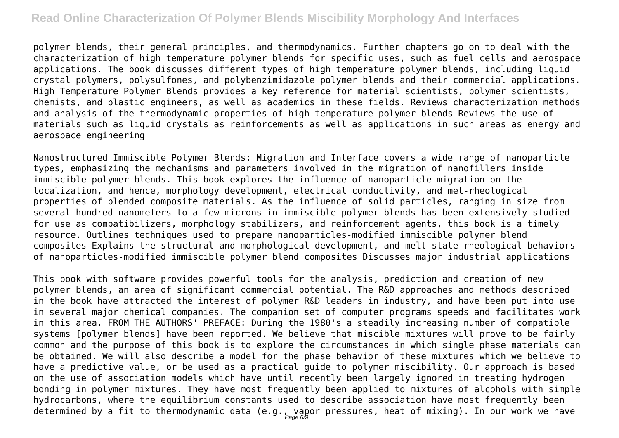# **Read Online Characterization Of Polymer Blends Miscibility Morphology And Interfaces**

polymer blends, their general principles, and thermodynamics. Further chapters go on to deal with the characterization of high temperature polymer blends for specific uses, such as fuel cells and aerospace applications. The book discusses different types of high temperature polymer blends, including liquid crystal polymers, polysulfones, and polybenzimidazole polymer blends and their commercial applications. High Temperature Polymer Blends provides a key reference for material scientists, polymer scientists, chemists, and plastic engineers, as well as academics in these fields. Reviews characterization methods and analysis of the thermodynamic properties of high temperature polymer blends Reviews the use of materials such as liquid crystals as reinforcements as well as applications in such areas as energy and aerospace engineering

Nanostructured Immiscible Polymer Blends: Migration and Interface covers a wide range of nanoparticle types, emphasizing the mechanisms and parameters involved in the migration of nanofillers inside immiscible polymer blends. This book explores the influence of nanoparticle migration on the localization, and hence, morphology development, electrical conductivity, and met-rheological properties of blended composite materials. As the influence of solid particles, ranging in size from several hundred nanometers to a few microns in immiscible polymer blends has been extensively studied for use as compatibilizers, morphology stabilizers, and reinforcement agents, this book is a timely resource. Outlines techniques used to prepare nanoparticles-modified immiscible polymer blend composites Explains the structural and morphological development, and melt-state rheological behaviors of nanoparticles-modified immiscible polymer blend composites Discusses major industrial applications

This book with software provides powerful tools for the analysis, prediction and creation of new polymer blends, an area of significant commercial potential. The R&D approaches and methods described in the book have attracted the interest of polymer R&D leaders in industry, and have been put into use in several major chemical companies. The companion set of computer programs speeds and facilitates work in this area. FROM THE AUTHORS' PREFACE: During the 1980's a steadily increasing number of compatible systems [polymer blends] have been reported. We believe that miscible mixtures will prove to be fairly common and the purpose of this book is to explore the circumstances in which single phase materials can be obtained. We will also describe a model for the phase behavior of these mixtures which we believe to have a predictive value, or be used as a practical guide to polymer miscibility. Our approach is based on the use of association models which have until recently been largely ignored in treating hydrogen bonding in polymer mixtures. They have most frequently been applied to mixtures of alcohols with simple hydrocarbons, where the equilibrium constants used to describe association have most frequently been determined by a fit to thermodynamic data (e.g., vapor pressures, heat of mixing). In our work we have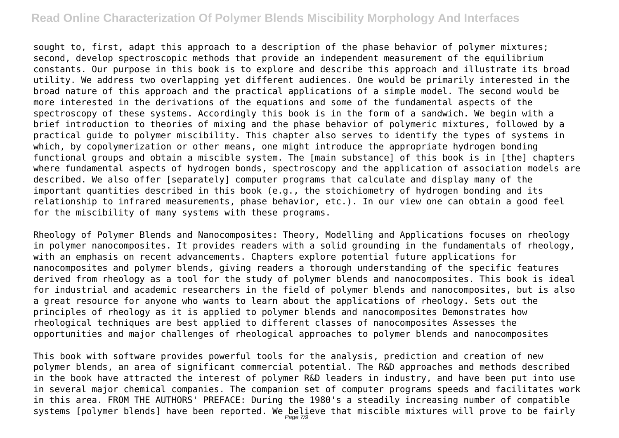## **Read Online Characterization Of Polymer Blends Miscibility Morphology And Interfaces**

sought to, first, adapt this approach to a description of the phase behavior of polymer mixtures; second, develop spectroscopic methods that provide an independent measurement of the equilibrium constants. Our purpose in this book is to explore and describe this approach and illustrate its broad utility. We address two overlapping yet different audiences. One would be primarily interested in the broad nature of this approach and the practical applications of a simple model. The second would be more interested in the derivations of the equations and some of the fundamental aspects of the spectroscopy of these systems. Accordingly this book is in the form of a sandwich. We begin with a brief introduction to theories of mixing and the phase behavior of polymeric mixtures, followed by a practical guide to polymer miscibility. This chapter also serves to identify the types of systems in which, by copolymerization or other means, one might introduce the appropriate hydrogen bonding functional groups and obtain a miscible system. The [main substance] of this book is in [the] chapters where fundamental aspects of hydrogen bonds, spectroscopy and the application of association models are described. We also offer [separately] computer programs that calculate and display many of the important quantities described in this book (e.g., the stoichiometry of hydrogen bonding and its relationship to infrared measurements, phase behavior, etc.). In our view one can obtain a good feel for the miscibility of many systems with these programs.

Rheology of Polymer Blends and Nanocomposites: Theory, Modelling and Applications focuses on rheology in polymer nanocomposites. It provides readers with a solid grounding in the fundamentals of rheology, with an emphasis on recent advancements. Chapters explore potential future applications for nanocomposites and polymer blends, giving readers a thorough understanding of the specific features derived from rheology as a tool for the study of polymer blends and nanocomposites. This book is ideal for industrial and academic researchers in the field of polymer blends and nanocomposites, but is also a great resource for anyone who wants to learn about the applications of rheology. Sets out the principles of rheology as it is applied to polymer blends and nanocomposites Demonstrates how rheological techniques are best applied to different classes of nanocomposites Assesses the opportunities and major challenges of rheological approaches to polymer blends and nanocomposites

This book with software provides powerful tools for the analysis, prediction and creation of new polymer blends, an area of significant commercial potential. The R&D approaches and methods described in the book have attracted the interest of polymer R&D leaders in industry, and have been put into use in several major chemical companies. The companion set of computer programs speeds and facilitates work in this area. FROM THE AUTHORS' PREFACE: During the 1980's a steadily increasing number of compatible systems [polymer blends] have been reported. We  $_{\it Page~7/9}^{}$ eve that miscible mixtures will prove to be fairly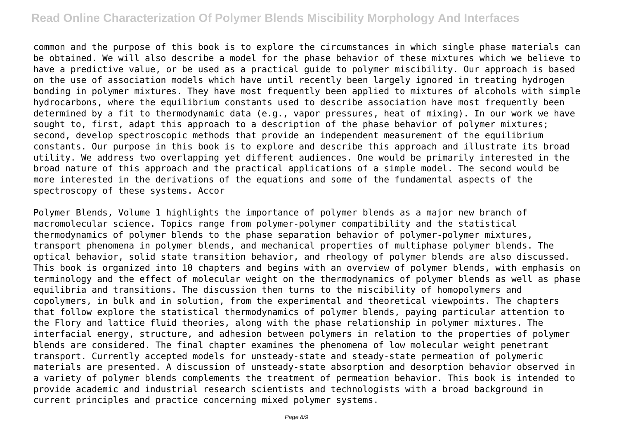common and the purpose of this book is to explore the circumstances in which single phase materials can be obtained. We will also describe a model for the phase behavior of these mixtures which we believe to have a predictive value, or be used as a practical guide to polymer miscibility. Our approach is based on the use of association models which have until recently been largely ignored in treating hydrogen bonding in polymer mixtures. They have most frequently been applied to mixtures of alcohols with simple hydrocarbons, where the equilibrium constants used to describe association have most frequently been determined by a fit to thermodynamic data (e.g., vapor pressures, heat of mixing). In our work we have sought to, first, adapt this approach to a description of the phase behavior of polymer mixtures; second, develop spectroscopic methods that provide an independent measurement of the equilibrium constants. Our purpose in this book is to explore and describe this approach and illustrate its broad utility. We address two overlapping yet different audiences. One would be primarily interested in the broad nature of this approach and the practical applications of a simple model. The second would be more interested in the derivations of the equations and some of the fundamental aspects of the spectroscopy of these systems. Accor

Polymer Blends, Volume 1 highlights the importance of polymer blends as a major new branch of macromolecular science. Topics range from polymer-polymer compatibility and the statistical thermodynamics of polymer blends to the phase separation behavior of polymer-polymer mixtures, transport phenomena in polymer blends, and mechanical properties of multiphase polymer blends. The optical behavior, solid state transition behavior, and rheology of polymer blends are also discussed. This book is organized into 10 chapters and begins with an overview of polymer blends, with emphasis on terminology and the effect of molecular weight on the thermodynamics of polymer blends as well as phase equilibria and transitions. The discussion then turns to the miscibility of homopolymers and copolymers, in bulk and in solution, from the experimental and theoretical viewpoints. The chapters that follow explore the statistical thermodynamics of polymer blends, paying particular attention to the Flory and lattice fluid theories, along with the phase relationship in polymer mixtures. The interfacial energy, structure, and adhesion between polymers in relation to the properties of polymer blends are considered. The final chapter examines the phenomena of low molecular weight penetrant transport. Currently accepted models for unsteady-state and steady-state permeation of polymeric materials are presented. A discussion of unsteady-state absorption and desorption behavior observed in a variety of polymer blends complements the treatment of permeation behavior. This book is intended to provide academic and industrial research scientists and technologists with a broad background in current principles and practice concerning mixed polymer systems.